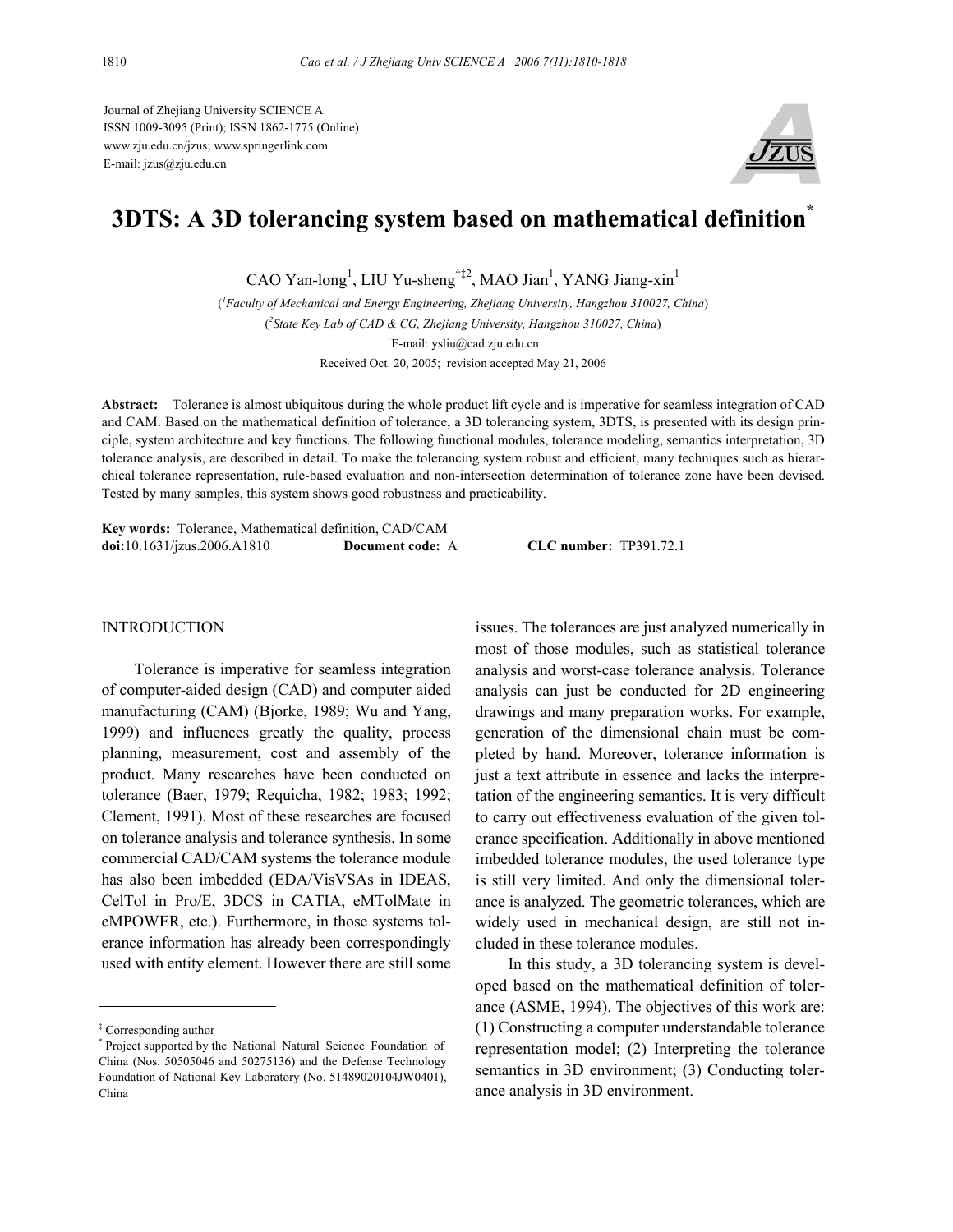Journal of Zhejiang University SCIENCE A ISSN 1009-3095 (Print); ISSN 1862-1775 (Online) www.zju.edu.cn/jzus; www.springerlink.com E-mail: jzus@zju.edu.cn



# **3DTS: A 3D tolerancing system based on mathematical definition\***

CAO Yan-long<sup>1</sup>, LIU Yu-sheng<sup>†‡2</sup>, MAO Jian<sup>1</sup>, YANG Jiang-xin<sup>1</sup>

( *1 Faculty of Mechanical and Energy Engineering, Zhejiang University, Hangzhou 310027, China*) ( *2 State Key Lab of CAD & CG, Zhejiang University, Hangzhou 310027, China*) † E-mail: ysliu@cad.zju.edu.cn Received Oct. 20, 2005; revision accepted May 21, 2006

**Abstract:** Tolerance is almost ubiquitous during the whole product lift cycle and is imperative for seamless integration of CAD and CAM. Based on the mathematical definition of tolerance, a 3D tolerancing system, 3DTS, is presented with its design principle, system architecture and key functions. The following functional modules, tolerance modeling, semantics interpretation, 3D tolerance analysis, are described in detail. To make the tolerancing system robust and efficient, many techniques such as hierarchical tolerance representation, rule-based evaluation and non-intersection determination of tolerance zone have been devised. Tested by many samples, this system shows good robustness and practicability.

| <b>Key words:</b> Tolerance, Mathematical definition, CAD/CAM |                  |                          |  |
|---------------------------------------------------------------|------------------|--------------------------|--|
| $\text{doi: } 10.1631 / \text{jzus}.2006 \text{ A}1810$       | Document code: A | CLC number: $TP391.72.1$ |  |

#### INTRODUCTION

Tolerance is imperative for seamless integration of computer-aided design (CAD) and computer aided manufacturing (CAM) (Bjorke, 1989; Wu and Yang, 1999) and influences greatly the quality, process planning, measurement, cost and assembly of the product. Many researches have been conducted on tolerance (Baer, 1979; Requicha, 1982; 1983; 1992; Clement, 1991). Most of these researches are focused on tolerance analysis and tolerance synthesis. In some commercial CAD/CAM systems the tolerance module has also been imbedded (EDA/VisVSAs in IDEAS, CelTol in Pro/E, 3DCS in CATIA, eMTolMate in eMPOWER, etc.). Furthermore, in those systems tolerance information has already been correspondingly used with entity element. However there are still some

issues. The tolerances are just analyzed numerically in most of those modules, such as statistical tolerance analysis and worst-case tolerance analysis. Tolerance analysis can just be conducted for 2D engineering drawings and many preparation works. For example, generation of the dimensional chain must be completed by hand. Moreover, tolerance information is just a text attribute in essence and lacks the interpretation of the engineering semantics. It is very difficult to carry out effectiveness evaluation of the given tolerance specification. Additionally in above mentioned imbedded tolerance modules, the used tolerance type is still very limited. And only the dimensional tolerance is analyzed. The geometric tolerances, which are widely used in mechanical design, are still not included in these tolerance modules.

In this study, a 3D tolerancing system is developed based on the mathematical definition of tolerance (ASME, 1994). The objectives of this work are: (1) Constructing a computer understandable tolerance representation model; (2) Interpreting the tolerance semantics in 3D environment; (3) Conducting tolerance analysis in 3D environment.

<sup>‡</sup> Corresponding author

<sup>\*</sup> Project supported by the National Natural Science Foundation of China (Nos. 50505046 and 50275136) and the Defense Technology Foundation of National Key Laboratory (No. 51489020104JW0401), China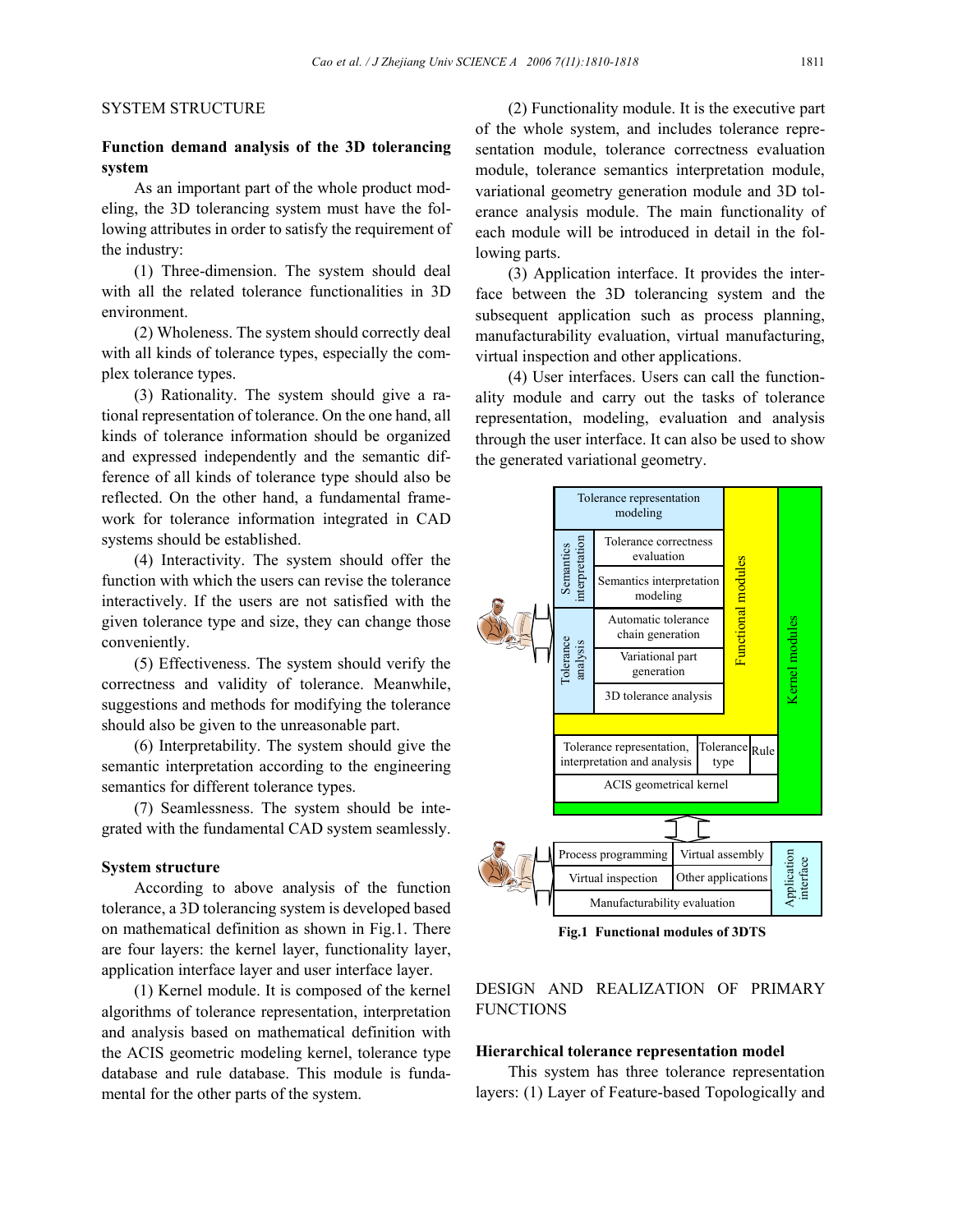# SYSTEM STRUCTURE

# **Function demand analysis of the 3D tolerancing system**

As an important part of the whole product modeling, the 3D tolerancing system must have the following attributes in order to satisfy the requirement of the industry:

(1) Three-dimension. The system should deal with all the related tolerance functionalities in 3D environment.

(2) Wholeness. The system should correctly deal with all kinds of tolerance types, especially the complex tolerance types.

(3) Rationality. The system should give a rational representation of tolerance. On the one hand, all kinds of tolerance information should be organized and expressed independently and the semantic difference of all kinds of tolerance type should also be reflected. On the other hand, a fundamental framework for tolerance information integrated in CAD systems should be established.

(4) Interactivity. The system should offer the function with which the users can revise the tolerance interactively. If the users are not satisfied with the given tolerance type and size, they can change those conveniently.

(5) Effectiveness. The system should verify the correctness and validity of tolerance. Meanwhile, suggestions and methods for modifying the tolerance should also be given to the unreasonable part.

(6) Interpretability. The system should give the semantic interpretation according to the engineering semantics for different tolerance types.

(7) Seamlessness. The system should be integrated with the fundamental CAD system seamlessly.

## **System structure**

According to above analysis of the function tolerance, a 3D tolerancing system is developed based on mathematical definition as shown in Fig.1. There are four layers: the kernel layer, functionality layer, application interface layer and user interface layer.

(1) Kernel module. It is composed of the kernel algorithms of tolerance representation, interpretation and analysis based on mathematical definition with the ACIS geometric modeling kernel, tolerance type database and rule database. This module is fundamental for the other parts of the system.

(2) Functionality module. It is the executive part of the whole system, and includes tolerance representation module, tolerance correctness evaluation module, tolerance semantics interpretation module, variational geometry generation module and 3D tolerance analysis module. The main functionality of each module will be introduced in detail in the following parts.

(3) Application interface. It provides the interface between the 3D tolerancing system and the subsequent application such as process planning, manufacturability evaluation, virtual manufacturing, virtual inspection and other applications.

(4) User interfaces. Users can call the functionality module and carry out the tasks of tolerance representation, modeling, evaluation and analysis through the user interface. It can also be used to show the generated variational geometry.



**Fig.1 Functional modules of 3DTS** 

DESIGN AND REALIZATION OF PRIMARY FUNCTIONS

#### **Hierarchical tolerance representation model**

This system has three tolerance representation layers: (1) Layer of Feature-based Topologically and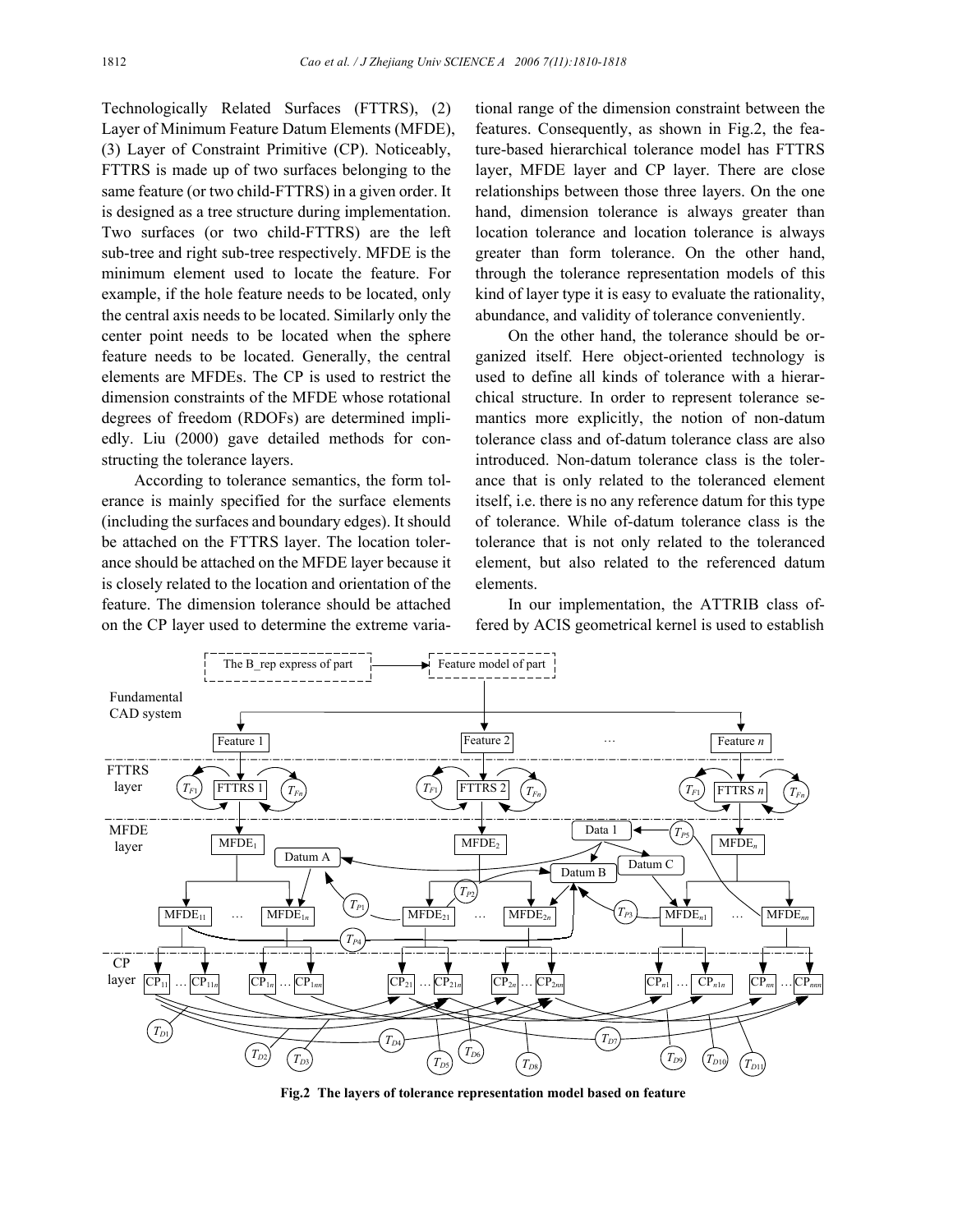Technologically Related Surfaces (FTTRS), (2) Layer of Minimum Feature Datum Elements (MFDE), (3) Layer of Constraint Primitive (CP). Noticeably, FTTRS is made up of two surfaces belonging to the same feature (or two child-FTTRS) in a given order. It is designed as a tree structure during implementation. Two surfaces (or two child-FTTRS) are the left sub-tree and right sub-tree respectively. MFDE is the minimum element used to locate the feature. For example, if the hole feature needs to be located, only the central axis needs to be located. Similarly only the center point needs to be located when the sphere feature needs to be located. Generally, the central elements are MFDEs. The CP is used to restrict the dimension constraints of the MFDE whose rotational degrees of freedom (RDOFs) are determined impliedly. Liu (2000) gave detailed methods for constructing the tolerance layers.

According to tolerance semantics, the form tolerance is mainly specified for the surface elements (including the surfaces and boundary edges). It should be attached on the FTTRS layer. The location tolerance should be attached on the MFDE layer because it is closely related to the location and orientation of the feature. The dimension tolerance should be attached on the CP layer used to determine the extreme varia-

tional range of the dimension constraint between the features. Consequently, as shown in Fig.2, the feature-based hierarchical tolerance model has FTTRS layer, MFDE layer and CP layer. There are close relationships between those three layers. On the one hand, dimension tolerance is always greater than location tolerance and location tolerance is always greater than form tolerance. On the other hand, through the tolerance representation models of this kind of layer type it is easy to evaluate the rationality, abundance, and validity of tolerance conveniently.

On the other hand, the tolerance should be organized itself. Here object-oriented technology is used to define all kinds of tolerance with a hierarchical structure. In order to represent tolerance semantics more explicitly, the notion of non-datum tolerance class and of-datum tolerance class are also introduced. Non-datum tolerance class is the tolerance that is only related to the toleranced element itself, i.e. there is no any reference datum for this type of tolerance. While of-datum tolerance class is the tolerance that is not only related to the toleranced element, but also related to the referenced datum elements.

In our implementation, the ATTRIB class offered by ACIS geometrical kernel is used to establish



**Fig.2 The layers of tolerance representation model based on feature**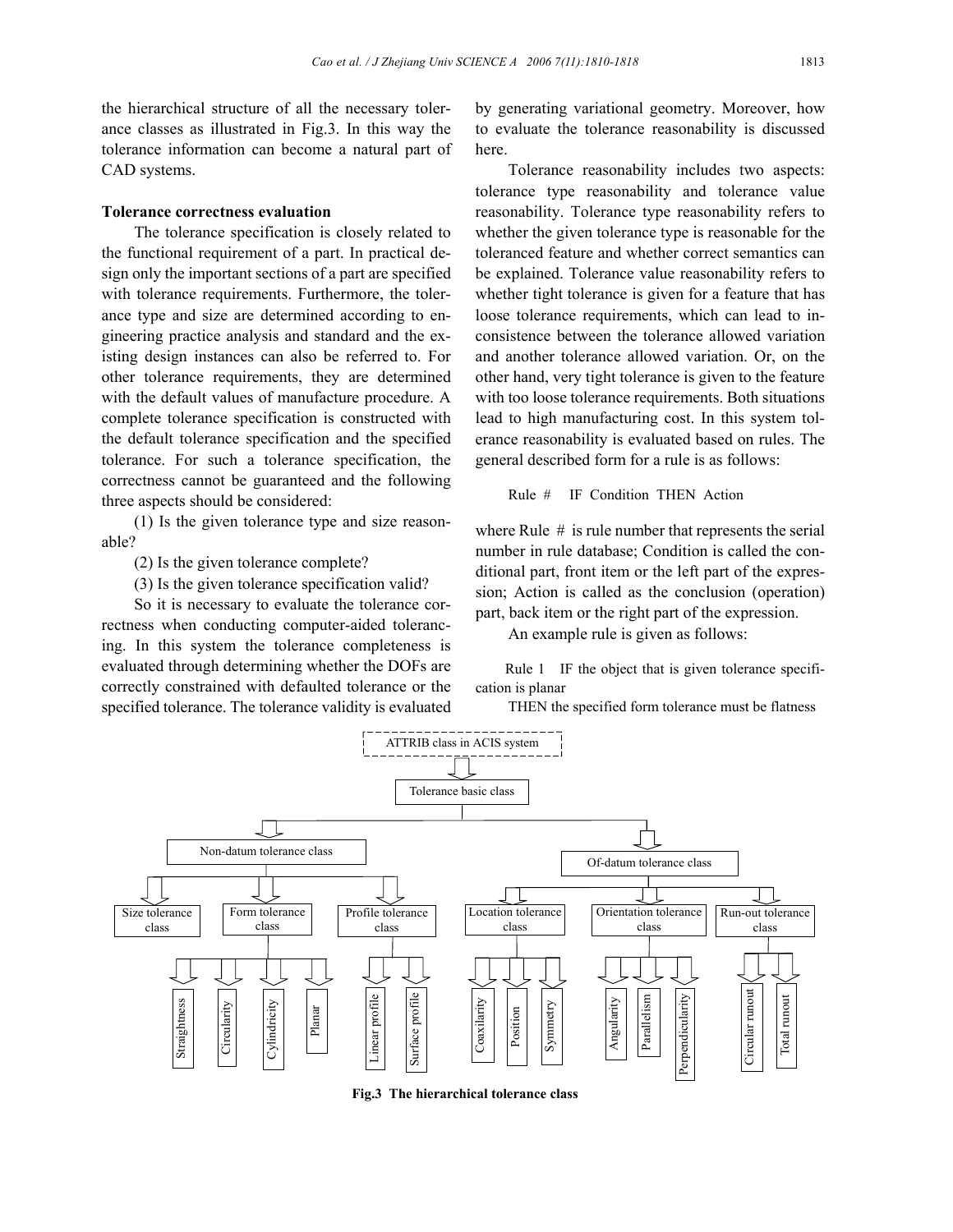the hierarchical structure of all the necessary tolerance classes as illustrated in Fig.3. In this way the tolerance information can become a natural part of CAD systems.

#### **Tolerance correctness evaluation**

The tolerance specification is closely related to the functional requirement of a part. In practical design only the important sections of a part are specified with tolerance requirements. Furthermore, the tolerance type and size are determined according to engineering practice analysis and standard and the existing design instances can also be referred to. For other tolerance requirements, they are determined with the default values of manufacture procedure. A complete tolerance specification is constructed with the default tolerance specification and the specified tolerance. For such a tolerance specification, the correctness cannot be guaranteed and the following three aspects should be considered:

(1) Is the given tolerance type and size reasonable?

(2) Is the given tolerance complete?

(3) Is the given tolerance specification valid?

So it is necessary to evaluate the tolerance correctness when conducting computer-aided tolerancing. In this system the tolerance completeness is evaluated through determining whether the DOFs are correctly constrained with defaulted tolerance or the specified tolerance. The tolerance validity is evaluated

by generating variational geometry. Moreover, how to evaluate the tolerance reasonability is discussed here.

Tolerance reasonability includes two aspects: tolerance type reasonability and tolerance value reasonability. Tolerance type reasonability refers to whether the given tolerance type is reasonable for the toleranced feature and whether correct semantics can be explained. Tolerance value reasonability refers to whether tight tolerance is given for a feature that has loose tolerance requirements, which can lead to inconsistence between the tolerance allowed variation and another tolerance allowed variation. Or, on the other hand, very tight tolerance is given to the feature with too loose tolerance requirements. Both situations lead to high manufacturing cost. In this system tolerance reasonability is evaluated based on rules. The general described form for a rule is as follows:

```
Rule # IF Condition THEN Action
```
where Rule  $#$  is rule number that represents the serial number in rule database; Condition is called the conditional part, front item or the left part of the expression; Action is called as the conclusion (operation) part, back item or the right part of the expression.

An example rule is given as follows:

Rule 1 IF the object that is given tolerance specification is planar

THEN the specified form tolerance must be flatness



**Fig.3 The hierarchical tolerance class**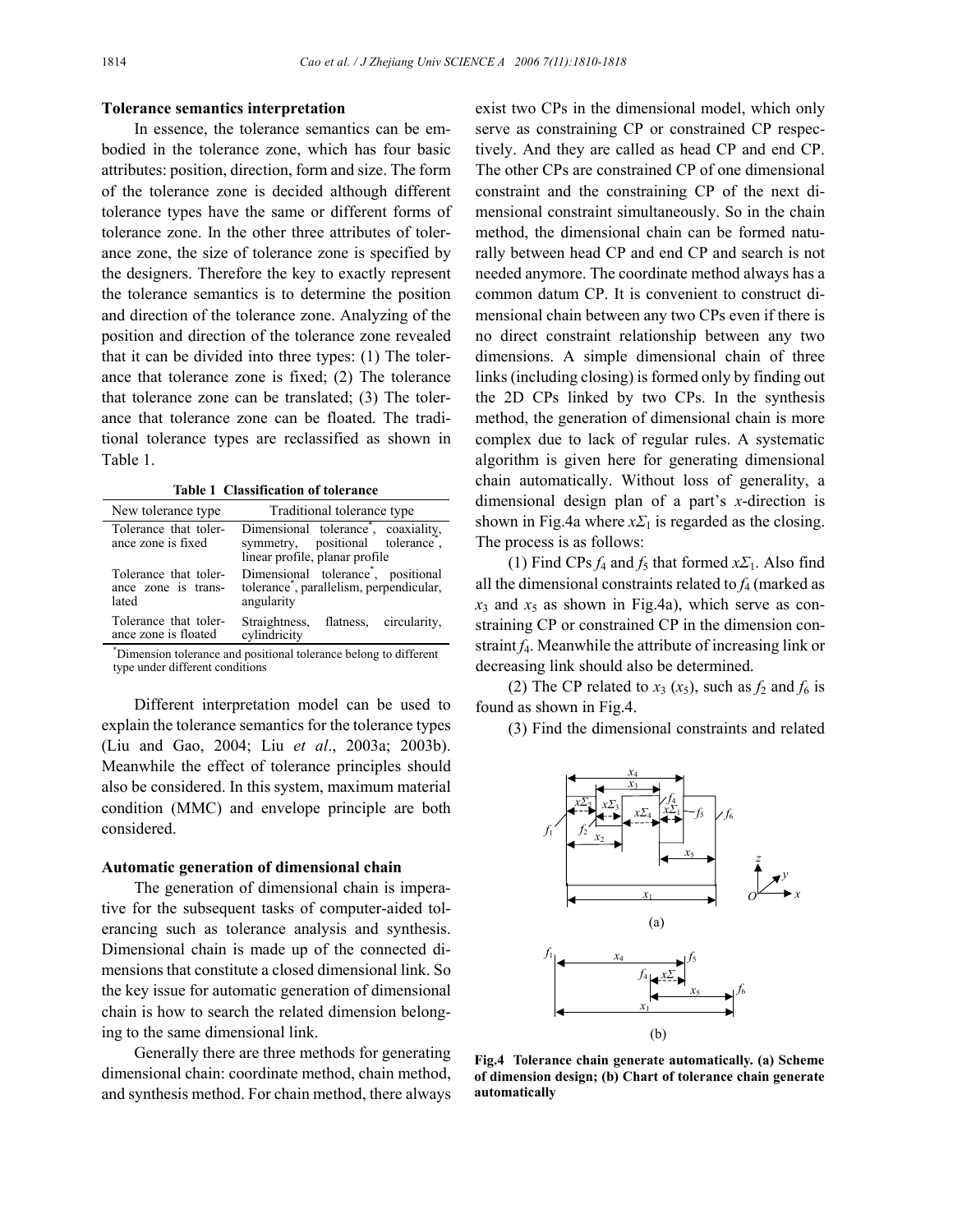## **Tolerance semantics interpretation**

In essence, the tolerance semantics can be embodied in the tolerance zone, which has four basic attributes: position, direction, form and size. The form of the tolerance zone is decided although different tolerance types have the same or different forms of tolerance zone. In the other three attributes of tolerance zone, the size of tolerance zone is specified by the designers. Therefore the key to exactly represent the tolerance semantics is to determine the position and direction of the tolerance zone. Analyzing of the position and direction of the tolerance zone revealed that it can be divided into three types: (1) The tolerance that tolerance zone is fixed; (2) The tolerance that tolerance zone can be translated; (3) The tolerance that tolerance zone can be floated. The traditional tolerance types are reclassified as shown in Table 1.

|  | <b>Table 1 Classification of tolerance</b> |  |
|--|--------------------------------------------|--|
|--|--------------------------------------------|--|

| New tolerance type                                               | Traditional tolerance type                                                                                            |  |  |  |  |  |
|------------------------------------------------------------------|-----------------------------------------------------------------------------------------------------------------------|--|--|--|--|--|
| Tolerance that toler-<br>ance zone is fixed                      | Dimensional tolerance, coaxiality,<br>symmetry, positional tolerance <sup>*</sup> ,<br>linear profile, planar profile |  |  |  |  |  |
| Tolerance that toler-<br>ance zone is trans-<br>lated            | Dimensional tolerance <sup>*</sup> , positional<br>tolerance <sup>*</sup> , parallelism, perpendicular,<br>angularity |  |  |  |  |  |
| Tolerance that toler-<br>ance zone is floated                    | Straightness,<br>flatness, circularity,<br>cylindricity                                                               |  |  |  |  |  |
| Dimension tolerance and positional tolerance belong to different |                                                                                                                       |  |  |  |  |  |

type under different conditions

Different interpretation model can be used to explain the tolerance semantics for the tolerance types (Liu and Gao, 2004; Liu *et al*., 2003a; 2003b). Meanwhile the effect of tolerance principles should also be considered. In this system, maximum material condition (MMC) and envelope principle are both considered.

## **Automatic generation of dimensional chain**

The generation of dimensional chain is imperative for the subsequent tasks of computer-aided tolerancing such as tolerance analysis and synthesis. Dimensional chain is made up of the connected dimensions that constitute a closed dimensional link. So the key issue for automatic generation of dimensional chain is how to search the related dimension belonging to the same dimensional link.

Generally there are three methods for generating dimensional chain: coordinate method, chain method, and synthesis method. For chain method, there always exist two CPs in the dimensional model, which only serve as constraining CP or constrained CP respectively. And they are called as head CP and end CP. The other CPs are constrained CP of one dimensional constraint and the constraining CP of the next dimensional constraint simultaneously. So in the chain method, the dimensional chain can be formed naturally between head CP and end CP and search is not needed anymore. The coordinate method always has a common datum CP. It is convenient to construct dimensional chain between any two CPs even if there is no direct constraint relationship between any two dimensions. A simple dimensional chain of three links (including closing) is formed only by finding out the 2D CPs linked by two CPs. In the synthesis method, the generation of dimensional chain is more complex due to lack of regular rules. A systematic algorithm is given here for generating dimensional chain automatically. Without loss of generality, a dimensional design plan of a part's *x*-direction is shown in Fig.4a where  $x\Sigma_1$  is regarded as the closing. The process is as follows:

(1) Find CPs  $f_4$  and  $f_5$  that formed  $x\Sigma_1$ . Also find all the dimensional constraints related to *f*4 (marked as  $x_3$  and  $x_5$  as shown in Fig.4a), which serve as constraining CP or constrained CP in the dimension constraint *f*4. Meanwhile the attribute of increasing link or decreasing link should also be determined.

(2) The CP related to  $x_3$  ( $x_5$ ), such as  $f_2$  and  $f_6$  is found as shown in Fig.4.

(3) Find the dimensional constraints and related



**Fig.4 Tolerance chain generate automatically. (a) Scheme of dimension design; (b) Chart of tolerance chain generate automatically**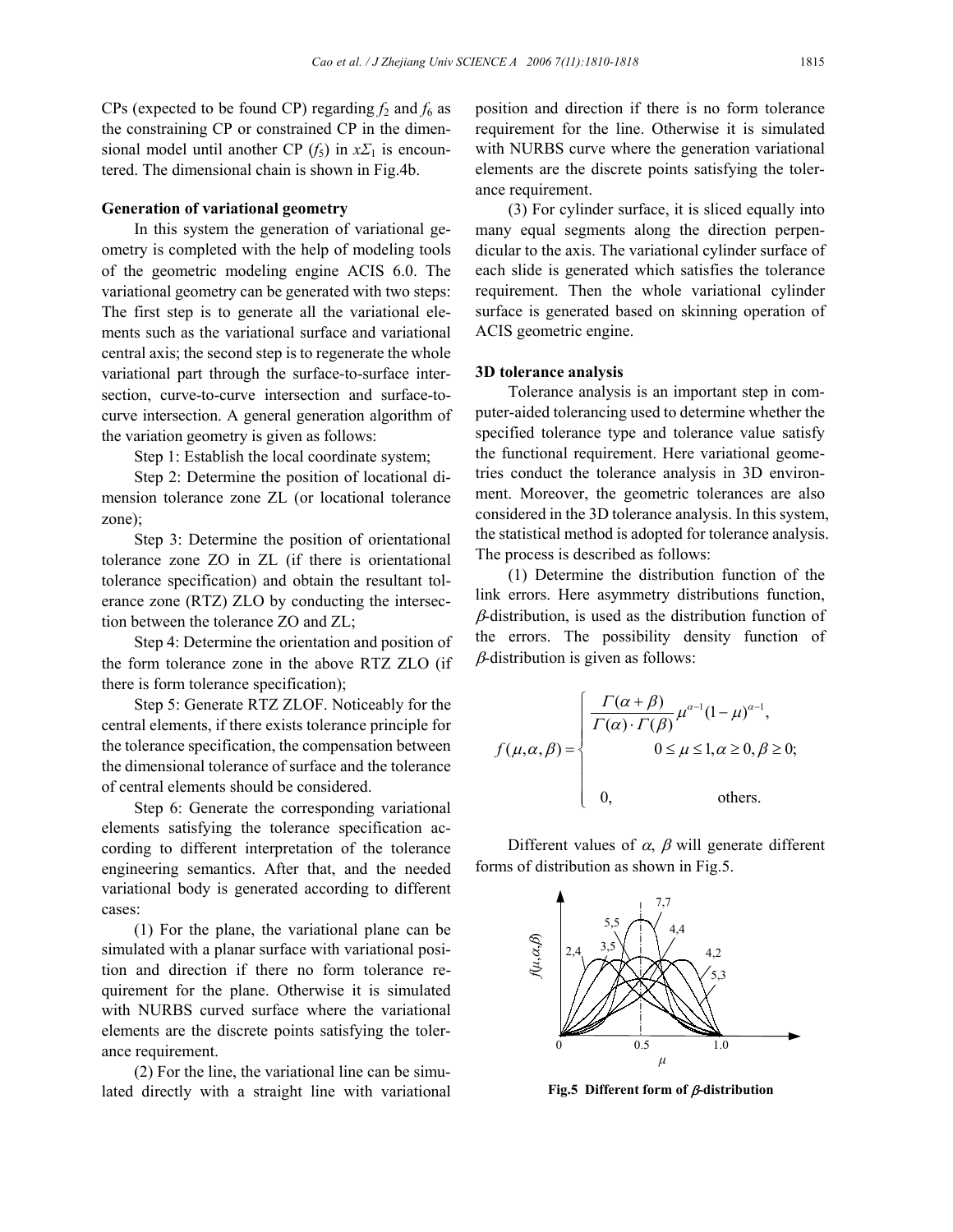CPs (expected to be found CP) regarding  $f_2$  and  $f_6$  as the constraining CP or constrained CP in the dimensional model until another CP  $(f_5)$  in  $x\Sigma_1$  is encountered. The dimensional chain is shown in Fig.4b.

#### **Generation of variational geometry**

In this system the generation of variational geometry is completed with the help of modeling tools of the geometric modeling engine ACIS 6.0. The variational geometry can be generated with two steps: The first step is to generate all the variational elements such as the variational surface and variational central axis; the second step is to regenerate the whole variational part through the surface-to-surface intersection, curve-to-curve intersection and surface-tocurve intersection. A general generation algorithm of the variation geometry is given as follows:

Step 1: Establish the local coordinate system;

Step 2: Determine the position of locational dimension tolerance zone ZL (or locational tolerance zone);

Step 3: Determine the position of orientational tolerance zone ZO in ZL (if there is orientational tolerance specification) and obtain the resultant tolerance zone (RTZ) ZLO by conducting the intersection between the tolerance ZO and ZL;

Step 4: Determine the orientation and position of the form tolerance zone in the above RTZ ZLO (if there is form tolerance specification);

Step 5: Generate RTZ ZLOF. Noticeably for the central elements, if there exists tolerance principle for the tolerance specification, the compensation between the dimensional tolerance of surface and the tolerance of central elements should be considered.

Step 6: Generate the corresponding variational elements satisfying the tolerance specification according to different interpretation of the tolerance engineering semantics. After that, and the needed variational body is generated according to different cases:

(1) For the plane, the variational plane can be simulated with a planar surface with variational position and direction if there no form tolerance requirement for the plane. Otherwise it is simulated with NURBS curved surface where the variational elements are the discrete points satisfying the tolerance requirement.

(2) For the line, the variational line can be simulated directly with a straight line with variational position and direction if there is no form tolerance requirement for the line. Otherwise it is simulated with NURBS curve where the generation variational elements are the discrete points satisfying the tolerance requirement.

(3) For cylinder surface, it is sliced equally into many equal segments along the direction perpendicular to the axis. The variational cylinder surface of each slide is generated which satisfies the tolerance requirement. Then the whole variational cylinder surface is generated based on skinning operation of ACIS geometric engine.

## **3D tolerance analysis**

Tolerance analysis is an important step in computer-aided tolerancing used to determine whether the specified tolerance type and tolerance value satisfy the functional requirement. Here variational geometries conduct the tolerance analysis in 3D environment. Moreover, the geometric tolerances are also considered in the 3D tolerance analysis. In this system, the statistical method is adopted for tolerance analysis. The process is described as follows:

(1) Determine the distribution function of the link errors. Here asymmetry distributions function,  $\beta$ -distribution, is used as the distribution function of the errors. The possibility density function of  $\beta$ -distribution is given as follows:

$$
f(\mu,\alpha,\beta) = \begin{cases} \frac{\Gamma(\alpha+\beta)}{\Gamma(\alpha)\cdot\Gamma(\beta)}\mu^{\alpha-1}(1-\mu)^{\alpha-1}, \\ 0 \le \mu \le 1, \alpha \ge 0, \beta \ge 0; \\ 0, \qquad \text{others.} \end{cases}
$$

Different values of  $\alpha$ ,  $\beta$  will generate different forms of distribution as shown in Fig.5.



**Fig.5 Different form of** β**-distribution**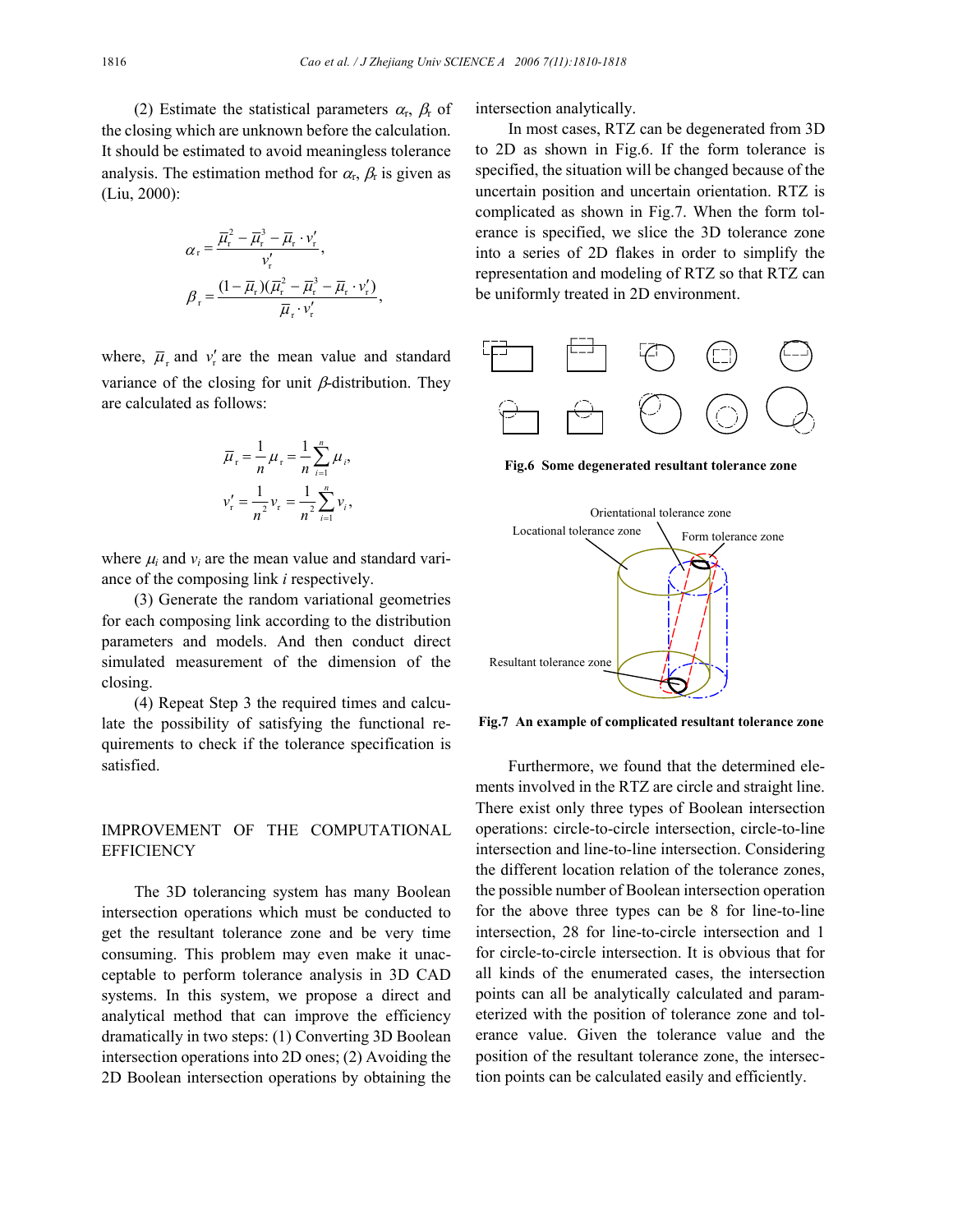(2) Estimate the statistical parameters  $\alpha_r$ ,  $\beta_r$  of the closing which are unknown before the calculation. It should be estimated to avoid meaningless tolerance analysis. The estimation method for  $\alpha_r$ ,  $\beta_r$  is given as (Liu, 2000):

$$
\alpha_{\rm r} = \frac{\overline{\mu}_{\rm r}^2 - \overline{\mu}_{\rm r}^3 - \overline{\mu}_{\rm r} \cdot \nu_{\rm r}'}{\nu_{\rm r}'},
$$

$$
\beta_{\rm r} = \frac{(1 - \overline{\mu}_{\rm r})(\overline{\mu}_{\rm r}^2 - \overline{\mu}_{\rm r}^3 - \overline{\mu}_{\rm r} \cdot \nu_{\rm r}')}{\overline{\mu}_{\rm r} \cdot \nu_{\rm r}'},
$$

where,  $\overline{\mu}_r$  and  $v'_r$  are the mean value and standard variance of the closing for unit  $β$ -distribution. They are calculated as follows:

$$
\overline{\mu}_{r} = \frac{1}{n} \mu_{r} = \frac{1}{n} \sum_{i=1}^{n} \mu_{i},
$$
  

$$
v_{r}' = \frac{1}{n^{2}} v_{r} = \frac{1}{n^{2}} \sum_{i=1}^{n} v_{i},
$$

where  $\mu_i$  and  $\nu_i$  are the mean value and standard variance of the composing link *i* respectively.

(3) Generate the random variational geometries for each composing link according to the distribution parameters and models. And then conduct direct simulated measurement of the dimension of the closing.

(4) Repeat Step 3 the required times and calculate the possibility of satisfying the functional requirements to check if the tolerance specification is satisfied.

# IMPROVEMENT OF THE COMPUTATIONAL **EFFICIENCY**

The 3D tolerancing system has many Boolean intersection operations which must be conducted to get the resultant tolerance zone and be very time consuming. This problem may even make it unacceptable to perform tolerance analysis in 3D CAD systems. In this system, we propose a direct and analytical method that can improve the efficiency dramatically in two steps: (1) Converting 3D Boolean intersection operations into 2D ones; (2) Avoiding the 2D Boolean intersection operations by obtaining the intersection analytically.

In most cases, RTZ can be degenerated from 3D to 2D as shown in Fig.6. If the form tolerance is specified, the situation will be changed because of the uncertain position and uncertain orientation. RTZ is complicated as shown in Fig.7. When the form tolerance is specified, we slice the 3D tolerance zone into a series of 2D flakes in order to simplify the representation and modeling of RTZ so that RTZ can be uniformly treated in 2D environment.



**Fig.6 Some degenerated resultant tolerance zone** 



**Fig.7 An example of complicated resultant tolerance zone** 

Furthermore, we found that the determined elements involved in the RTZ are circle and straight line. There exist only three types of Boolean intersection operations: circle-to-circle intersection, circle-to-line intersection and line-to-line intersection. Considering the different location relation of the tolerance zones, the possible number of Boolean intersection operation for the above three types can be 8 for line-to-line intersection, 28 for line-to-circle intersection and 1 for circle-to-circle intersection. It is obvious that for all kinds of the enumerated cases, the intersection points can all be analytically calculated and parameterized with the position of tolerance zone and tolerance value. Given the tolerance value and the position of the resultant tolerance zone, the intersection points can be calculated easily and efficiently.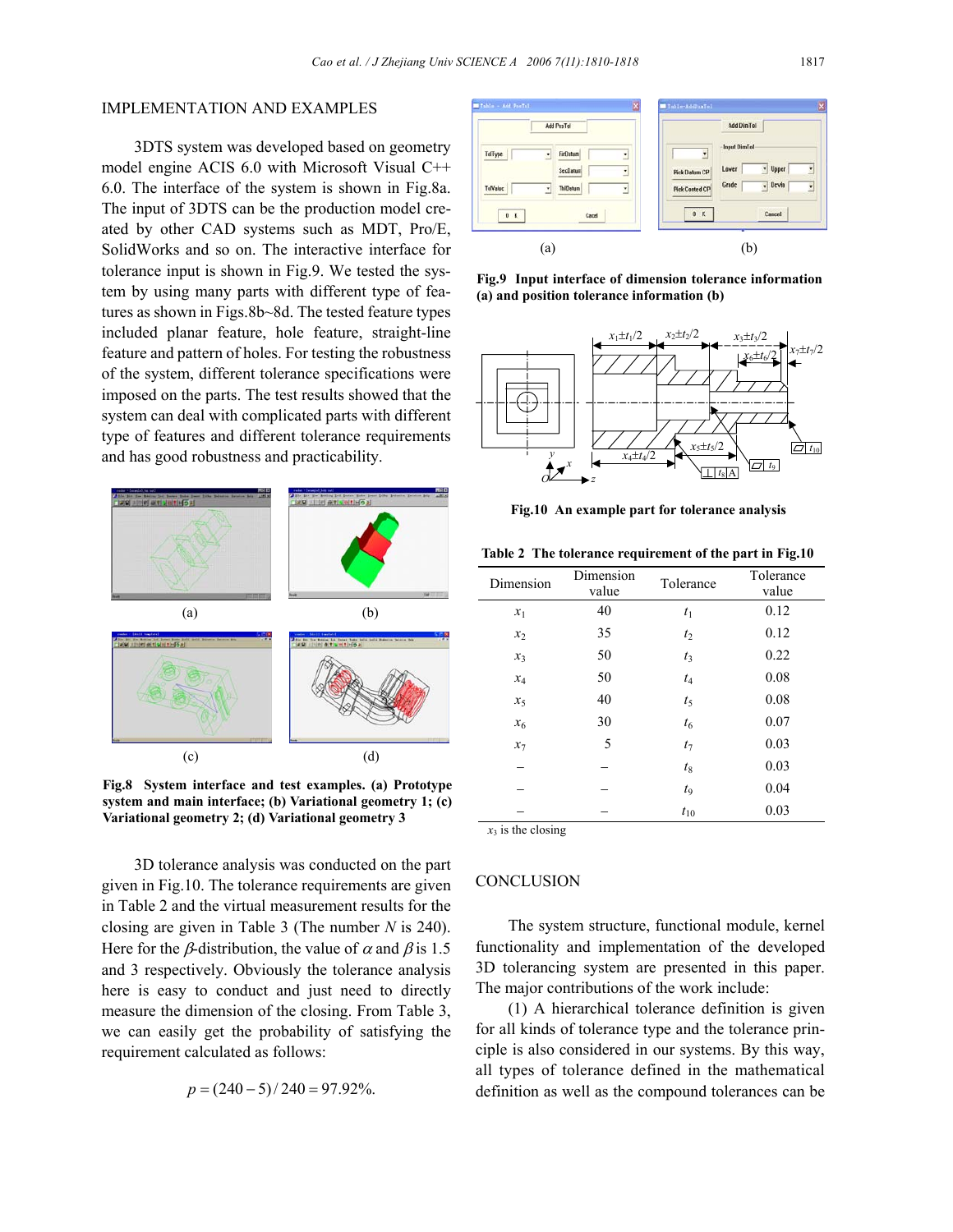# IMPLEMENTATION AND EXAMPLES

3DTS system was developed based on geometry model engine ACIS 6.0 with Microsoft Visual C++ 6.0. The interface of the system is shown in Fig.8a. The input of 3DTS can be the production model created by other CAD systems such as MDT, Pro/E, SolidWorks and so on. The interactive interface for tolerance input is shown in Fig.9. We tested the system by using many parts with different type of features as shown in Figs.8b~8d. The tested feature types included planar feature, hole feature, straight-line feature and pattern of holes. For testing the robustness of the system, different tolerance specifications were imposed on the parts. The test results showed that the system can deal with complicated parts with different type of features and different tolerance requirements and has good robustness and practicability.



**Fig.8 System interface and test examples. (a) Prototype system and main interface; (b) Variational geometry 1; (c) Variational geometry 2; (d) Variational geometry 3** 

3D tolerance analysis was conducted on the part given in Fig.10. The tolerance requirements are given in Table 2 and the virtual measurement results for the closing are given in Table 3 (The number *N* is 240). Here for the *β*-distribution, the value of  $\alpha$  and  $\beta$  is 1.5 and 3 respectively. Obviously the tolerance analysis here is easy to conduct and just need to directly measure the dimension of the closing. From Table 3, we can easily get the probability of satisfying the requirement calculated as follows:

$$
p = (240 - 5)/240 = 97.92\%.
$$



**Fig.9 Input interface of dimension tolerance information (a) and position tolerance information (b)** 



**Fig.10 An example part for tolerance analysis** 

**Table 2 The tolerance requirement of the part in Fig.10**

| Dimension      | Dimension<br>value | Tolerance | Tolerance<br>value |  |  |
|----------------|--------------------|-----------|--------------------|--|--|
| $x_1$          | 40                 | $t_1$     | 0.12               |  |  |
| $x_2$          | 35                 | $t_2$     | 0.12               |  |  |
| $x_3$          | 50                 | $t_3$     | 0.22               |  |  |
| $x_4$          | 50                 | $t_4$     | 0.08               |  |  |
| $x_5$          | 40                 | $t_{5}$   | 0.08               |  |  |
| x <sub>6</sub> | 30                 | $t_6$     | 0.07               |  |  |
| $x_7$          | 5                  | $t_7$     | 0.03               |  |  |
|                |                    | $t_{8}$   | 0.03               |  |  |
|                |                    | $t_{9}$   | 0.04               |  |  |
|                |                    | $t_{10}$  | 0.03               |  |  |
| rigthe closing |                    |           |                    |  |  |

*x*3 is the closing

# **CONCLUSION**

The system structure, functional module, kernel functionality and implementation of the developed 3D tolerancing system are presented in this paper. The major contributions of the work include:

(1) A hierarchical tolerance definition is given for all kinds of tolerance type and the tolerance principle is also considered in our systems. By this way, all types of tolerance defined in the mathematical definition as well as the compound tolerances can be